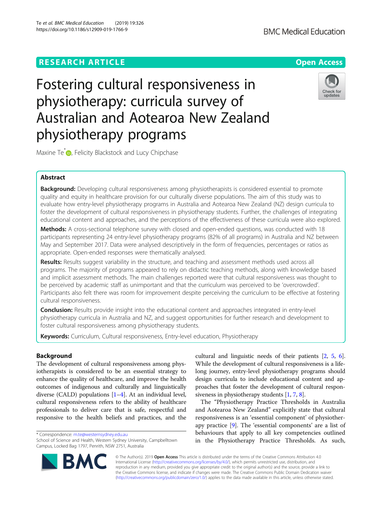# **RESEARCH ARTICLE Example 2018 12:30 THE Open Access**

# Fostering cultural responsiveness in physiotherapy: curricula survey of Australian and Aotearoa New Zealand physiotherapy programs



Maxine Te<sup>\*</sup> <sub>(b)</sub>, Felicity Blackstock and Lucy Chipchase

# Abstract

Background: Developing cultural responsiveness among physiotherapists is considered essential to promote quality and equity in healthcare provision for our culturally diverse populations. The aim of this study was to evaluate how entry-level physiotherapy programs in Australia and Aotearoa New Zealand (NZ) design curricula to foster the development of cultural responsiveness in physiotherapy students. Further, the challenges of integrating educational content and approaches, and the perceptions of the effectiveness of these curricula were also explored.

Methods: A cross-sectional telephone survey with closed and open-ended questions, was conducted with 18 participants representing 24 entry-level physiotherapy programs (82% of all programs) in Australia and NZ between May and September 2017. Data were analysed descriptively in the form of frequencies, percentages or ratios as appropriate. Open-ended responses were thematically analysed.

Results: Results suggest variability in the structure, and teaching and assessment methods used across all programs. The majority of programs appeared to rely on didactic teaching methods, along with knowledge based and implicit assessment methods. The main challenges reported were that cultural responsiveness was thought to be perceived by academic staff as unimportant and that the curriculum was perceived to be 'overcrowded'. Participants also felt there was room for improvement despite perceiving the curriculum to be effective at fostering cultural responsiveness.

**Conclusion:** Results provide insight into the educational content and approaches integrated in entry-level physiotherapy curricula in Australia and NZ, and suggest opportunities for further research and development to foster cultural responsiveness among physiotherapy students.

Keywords: Curriculum, Cultural responsiveness, Entry-level education, Physiotherapy

# Background

The development of cultural responsiveness among physiotherapists is considered to be an essential strategy to enhance the quality of healthcare, and improve the health outcomes of indigenous and culturally and linguistically diverse (CALD) populations [\[1](#page-10-0)–[4](#page-10-0)]. At an individual level, cultural responsiveness refers to the ability of healthcare professionals to deliver care that is safe, respectful and responsive to the health beliefs and practices, and the

\* Correspondence: [m.te@westernsydney.edu.au](mailto:m.te@westernsydney.edu.au)

cultural and linguistic needs of their patients [[2,](#page-10-0) [5,](#page-10-0) [6](#page-10-0)]. While the development of cultural responsiveness is a lifelong journey, entry-level physiotherapy programs should design curricula to include educational content and approaches that foster the development of cultural responsiveness in physiotherapy students [\[1](#page-10-0), [7,](#page-10-0) [8](#page-10-0)].

The "Physiotherapy Practice Thresholds in Australia and Aotearoa New Zealand" explicitly state that cultural responsiveness is an 'essential component' of physiotherapy practice [\[9](#page-10-0)]. The 'essential components' are a list of behaviours that apply to all key competencies outlined in the Physiotherapy Practice Thresholds. As such,



© The Author(s). 2019 Open Access This article is distributed under the terms of the Creative Commons Attribution 4.0 International License [\(http://creativecommons.org/licenses/by/4.0/](http://creativecommons.org/licenses/by/4.0/)), which permits unrestricted use, distribution, and reproduction in any medium, provided you give appropriate credit to the original author(s) and the source, provide a link to the Creative Commons license, and indicate if changes were made. The Creative Commons Public Domain Dedication waiver [\(http://creativecommons.org/publicdomain/zero/1.0/](http://creativecommons.org/publicdomain/zero/1.0/)) applies to the data made available in this article, unless otherwise stated.

School of Science and Health, Western Sydney University, Campbelltown Campus, Locked Bag 1797, Penrith, NSW 2751, Australia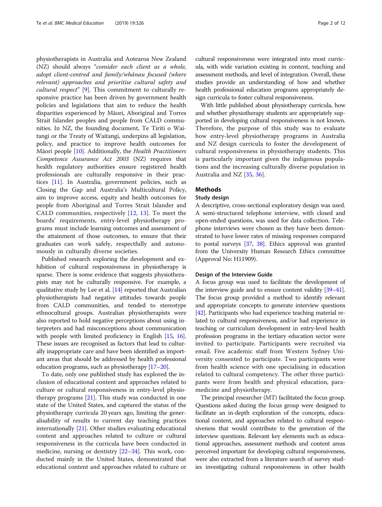physiotherapists in Australia and Aotearoa New Zealand (NZ) should always "consider each client as a whole, adopt client-centred and family/whānau focused (where relevant) approaches and prioritise cultural safety and cultural respect" [\[9](#page-10-0)]. This commitment to culturally responsive practice has been driven by government health policies and legislations that aim to reduce the health disparities experienced by Māori, Aboriginal and Torres Strait Islander peoples and people from CALD communities. In NZ, the founding document, Te Tiriti o Waitangi or the Treaty of Waitangi, underpins all legislation, policy, and practice to improve health outcomes for Māori people [\[10\]](#page-10-0). Additionally, the *Health Practitioners* Competence Assurance Act 2003 (NZ) requires that health regulatory authorities ensure registered health professionals are culturally responsive in their practices [[11\]](#page-10-0). In Australia, government policies, such as Closing the Gap and Australia's Multicultural Policy, aim to improve access, equity and health outcomes for people from Aboriginal and Torres Strait Islander and CALD communities, respectively [[12,](#page-10-0) [13\]](#page-10-0). To meet the boards' requirements, entry-level physiotherapy programs must include learning outcomes and assessment of the attainment of those outcomes, to ensure that their graduates can work safely, respectfully and autonomously in culturally diverse societies.

Published research exploring the development and exhibition of cultural responsiveness in physiotherapy is sparse. There is some evidence that suggests physiotherapists may not be culturally responsive. For example, a qualitative study by Lee et al. [\[14](#page-10-0)] reported that Australian physiotherapists had negative attitudes towards people from CALD communities, and tended to stereotype ethnocultural groups. Australian physiotherapists were also reported to hold negative perceptions about using interpreters and had misconceptions about communication with people with limited proficiency in English [[15](#page-10-0), [16](#page-10-0)]. These issues are recognised as factors that lead to culturally inappropriate care and have been identified as important areas that should be addressed by health professional education programs, such as physiotherapy [\[17](#page-10-0)–[20\]](#page-10-0).

To date, only one published study has explored the inclusion of educational content and approaches related to culture or cultural responsiveness in entry-level physiotherapy programs [[21](#page-10-0)]. This study was conducted in one state of the United States, and captured the status of the physiotherapy curricula 20 years ago, limiting the generalisability of results to current day teaching practices internationally [\[21\]](#page-10-0). Other studies evaluating educational content and approaches related to culture or cultural responsiveness in the curricula have been conducted in medicine, nursing or dentistry  $[22-34]$  $[22-34]$  $[22-34]$ . This work, conducted mainly in the United States, demonstrated that educational content and approaches related to culture or

cultural responsiveness were integrated into most curricula, with wide variation existing in content, teaching and assessment methods, and level of integration. Overall, these studies provide an understanding of how and whether health professional education programs appropriately design curricula to foster cultural responsiveness.

With little published about physiotherapy curricula, how and whether physiotherapy students are appropriately supported in developing cultural responsiveness is not known. Therefore, the purpose of this study was to evaluate how entry-level physiotherapy programs in Australia and NZ design curricula to foster the development of cultural responsiveness in physiotherapy students. This is particularly important given the indigenous populations and the increasing culturally diverse population in Australia and NZ [[35,](#page-11-0) [36\]](#page-11-0).

#### **Methods**

#### Study design

A descriptive, cross-sectional exploratory design was used. A semi-structured telephone interview, with closed and open-ended questions, was used for data collection. Telephone interviews were chosen as they have been demonstrated to have lower rates of missing responses compared to postal surveys [[37](#page-11-0), [38\]](#page-11-0). Ethics approval was granted from the University Human Research Ethics committee (Approval No: H11909).

#### Design of the Interview Guide

A focus group was used to facilitate the development of the interview guide and to ensure content validity [[39](#page-11-0)–[41](#page-11-0)]. The focus group provided a method to identify relevant and appropriate concepts to generate interview questions [[42](#page-11-0)]. Participants who had experience teaching material related to cultural responsiveness, and/or had experience in teaching or curriculum development in entry-level health profession programs in the tertiary education sector were invited to participate. Participants were recruited via email. Five academic staff from Western Sydney University consented to participate. Two participants were from health science with one specialising in education related to cultural competency. The other three participants were from health and physical education, paramedicine and physiotherapy.

The principal researcher (MT) facilitated the focus group. Questions asked during the focus group were designed to facilitate an in-depth exploration of the concepts, educational content, and approaches related to cultural responsiveness that would contribute to the generation of the interview questions. Relevant key elements such as educational approaches, assessment methods and content areas perceived important for developing cultural responsiveness, were also extracted from a literature search of survey studies investigating cultural responsiveness in other health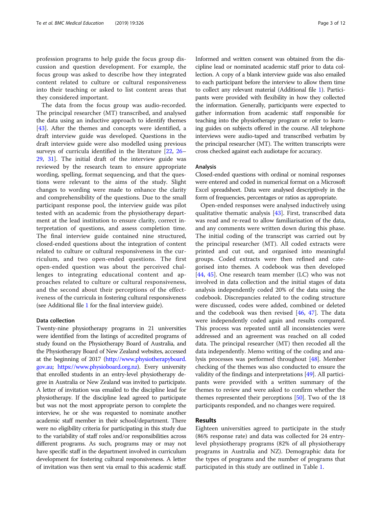profession programs to help guide the focus group discussion and question development. For example, the focus group was asked to describe how they integrated content related to culture or cultural responsiveness into their teaching or asked to list content areas that they considered important.

The data from the focus group was audio-recorded. The principal researcher (MT) transcribed, and analysed the data using an inductive approach to identify themes [[43\]](#page-11-0). After the themes and concepts were identified, a draft interview guide was developed. Questions in the draft interview guide were also modelled using previous surveys of curricula identified in the literature [[22,](#page-10-0) [26](#page-11-0)– [29,](#page-11-0) [31](#page-11-0)]. The initial draft of the interview guide was reviewed by the research team to ensure appropriate wording, spelling, format sequencing, and that the questions were relevant to the aims of the study. Slight changes to wording were made to enhance the clarity and comprehensibility of the questions. Due to the small participant response pool, the interview guide was pilot tested with an academic from the physiotherapy department at the lead institution to ensure clarity, correct interpretation of questions, and assess completion time. The final interview guide contained nine structured, closed-ended questions about the integration of content related to culture or cultural responsiveness in the curriculum, and two open-ended questions. The first open-ended question was about the perceived challenges to integrating educational content and approaches related to culture or cultural responsiveness, and the second about their perceptions of the effectiveness of the curricula in fostering cultural responsiveness (see Additional file [1](#page-10-0) for the final interview guide).

#### Data collection

Twenty-nine physiotherapy programs in 21 universities were identified from the listings of accredited programs of study found on the Physiotherapy Board of Australia, and the Physiotherapy Board of New Zealand websites, accessed at the beginning of 2017 ([http://www.physiotherapyboard.](http://www.physiotherapyboard.gov.au) [gov.au;](http://www.physiotherapyboard.gov.au) <https://www.physioboard.org.nz>). Every university that enrolled students in an entry-level physiotherapy degree in Australia or New Zealand was invited to participate. A letter of invitation was emailed to the discipline lead for physiotherapy. If the discipline lead agreed to participate but was not the most appropriate person to complete the interview, he or she was requested to nominate another academic staff member in their school/department. There were no eligibility criteria for participating in this study due to the variability of staff roles and/or responsibilities across different programs. As such, programs may or may not have specific staff in the department involved in curriculum development for fostering cultural responsiveness. A letter of invitation was then sent via email to this academic staff.

Informed and written consent was obtained from the discipline lead or nominated academic staff prior to data collection. A copy of a blank interview guide was also emailed to each participant before the interview to allow them time to collect any relevant material (Additional file [1](#page-10-0)). Participants were provided with flexibility in how they collected the information. Generally, participants were expected to gather information from academic staff responsible for teaching into the physiotherapy program or refer to learning guides on subjects offered in the course. All telephone interviews were audio-taped and transcribed verbatim by the principal researcher (MT). The written transcripts were cross checked against each audiotape for accuracy.

#### Analysis

Closed-ended questions with ordinal or nominal responses were entered and coded in numerical format on a Microsoft Excel spreadsheet. Data were analysed descriptively in the form of frequencies, percentages or ratios as appropriate.

Open-ended responses were analysed inductively using qualitative thematic analysis [\[43](#page-11-0)]. First, transcribed data was read and re-read to allow familiarisation of the data, and any comments were written down during this phase. The initial coding of the transcript was carried out by the principal researcher (MT). All coded extracts were printed and cut out, and organised into meaningful groups. Coded extracts were then refined and categorised into themes. A codebook was then developed [[44,](#page-11-0) [45](#page-11-0)]. One research team member (LC) who was not involved in data collection and the initial stages of data analysis independently coded 20% of the data using the codebook. Discrepancies related to the coding structure were discussed, codes were added, combined or deleted and the codebook was then revised [\[46](#page-11-0), [47\]](#page-11-0). The data were independently coded again and results compared. This process was repeated until all inconsistencies were addressed and an agreement was reached on all coded data. The principal researcher (MT) then recoded all the data independently. Memo writing of the coding and analysis processes was performed throughout [\[48\]](#page-11-0). Member checking of the themes was also conducted to ensure the validity of the findings and interpretations [[49\]](#page-11-0). All participants were provided with a written summary of the themes to review and were asked to confirm whether the themes represented their perceptions [[50\]](#page-11-0). Two of the 18 participants responded, and no changes were required.

# Results

Eighteen universities agreed to participate in the study (86% response rate) and data was collected for 24 entrylevel physiotherapy programs (82% of all physiotherapy programs in Australia and NZ). Demographic data for the types of programs and the number of programs that participated in this study are outlined in Table [1](#page-3-0).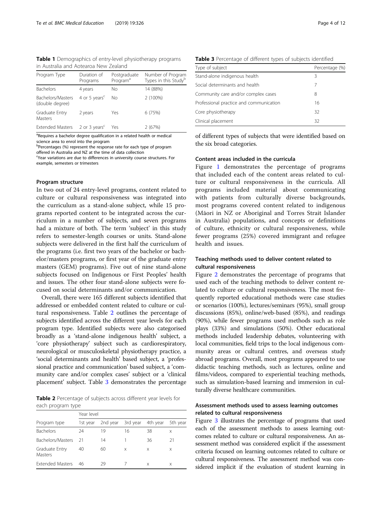<span id="page-3-0"></span>Table 1 Demographics of entry-level physiotherapy programs in Australia and Aotearoa New Zealand

| Program Type                         | Duration of<br>Programs   | Postgraduate<br>Program <sup>a</sup> | Number of Program<br>Types in this Study <sup>b</sup> |
|--------------------------------------|---------------------------|--------------------------------------|-------------------------------------------------------|
| Bachelors                            | 4 years                   | <b>No</b>                            | 14 (88%)                                              |
| Bachelors/Masters<br>(double degree) | 4 or 5 years <sup>c</sup> | No                                   | 2 (100%)                                              |
| Graduate Entry<br>Masters            | 2 years                   | Yes                                  | 6(75%)                                                |
| <b>Extended Masters</b>              | 2 or 3 years <sup>c</sup> | Yes                                  | 2(67%)                                                |

<sup>a</sup>Requires a bachelor degree qualification in a related health or medical science area to enrol into the program

<sup>b</sup>Percentages (%) represent the response rate for each type of program offered in Australia and NZ at the time of data collection

<sup>c</sup>Year variations are due to differences in university course structures. For example, semesters or trimesters

#### Program structure

In two out of 24 entry-level programs, content related to culture or cultural responsiveness was integrated into the curriculum as a stand-alone subject, while 15 programs reported content to be integrated across the curriculum in a number of subjects, and seven programs had a mixture of both. The term 'subject' in this study refers to semester-length courses or units. Stand-alone subjects were delivered in the first half the curriculum of the programs (i.e. first two years of the bachelor or bachelor/masters programs, or first year of the graduate entry masters (GEM) programs). Five out of nine stand-alone subjects focused on Indigenous or First Peoples' health and issues. The other four stand-alone subjects were focused on social determinants and/or communication.

Overall, there were 165 different subjects identified that addressed or embedded content related to culture or cultural responsiveness. Table 2 outlines the percentage of subjects identified across the different year levels for each program type. Identified subjects were also categorised broadly as a 'stand-alone indigenous health' subject, a 'core physiotherapy' subject such as cardiorespiratory, neurological or musculoskeletal physiotherapy practice, a 'social determinants and health' based subject, a 'professional practice and communication' based subject, a 'community care and/or complex cases' subject or a 'clinical placement' subject. Table 3 demonstrates the percentage

Table 2 Percentage of subjects across different year levels for each program type

|                           | Year level |          |          |          |          |
|---------------------------|------------|----------|----------|----------|----------|
| Program type              | 1st year   | 2nd year | 3rd year | 4th year | 5th year |
| <b>Bachelors</b>          | 24         | 19       | 16       | 38       | X        |
| Bachelors/Masters         | 21         | 14       |          | 36       | 21       |
| Graduate Entry<br>Masters | 40         | 60       | X        | X        | X        |
| <b>Extended Masters</b>   | 46         | 29       |          | X        | X        |

Table 3 Percentage of different types of subjects identified

| Type of subject                         | Percentage (%) |  |
|-----------------------------------------|----------------|--|
| Stand-alone indigenous health           | 3              |  |
| Social determinants and health          | 7              |  |
| Community care and/or complex cases     | 8              |  |
| Professional practice and communication | 16             |  |
| Core physiotherapy                      | 32             |  |
| Clinical placement                      | 32             |  |
|                                         |                |  |

of different types of subjects that were identified based on the six broad categories.

#### Content areas included in the curricula

Figure [1](#page-4-0) demonstrates the percentage of programs that included each of the content areas related to culture or cultural responsiveness in the curricula. All programs included material about communicating with patients from culturally diverse backgrounds, most programs covered content related to indigenous (Māori in NZ or Aboriginal and Torres Strait Islander in Australia) populations, and concepts or definitions of culture, ethnicity or cultural responsiveness, while fewer programs (25%) covered immigrant and refugee health and issues.

# Teaching methods used to deliver content related to cultural responsiveness

Figure [2](#page-4-0) demonstrates the percentage of programs that used each of the teaching methods to deliver content related to culture or cultural responsiveness. The most frequently reported educational methods were case studies or scenarios (100%), lectures/seminars (95%), small group discussions (85%), online/web-based (85%), and readings (90%), while fewer programs used methods such as role plays (33%) and simulations (50%). Other educational methods included leadership debates, volunteering with local communities, field trips to the local indigenous community areas or cultural centres, and overseas study abroad programs. Overall, most programs appeared to use didactic teaching methods, such as lectures, online and films/videos, compared to experiential teaching methods, such as simulation-based learning and immersion in culturally diverse healthcare communities.

# Assessment methods used to assess learning outcomes related to cultural responsiveness

Figure [3](#page-5-0) illustrates the percentage of programs that used each of the assessment methods to assess learning outcomes related to culture or cultural responsiveness. An assessment method was considered explicit if the assessment criteria focused on learning outcomes related to culture or cultural responsiveness. The assessment method was considered implicit if the evaluation of student learning in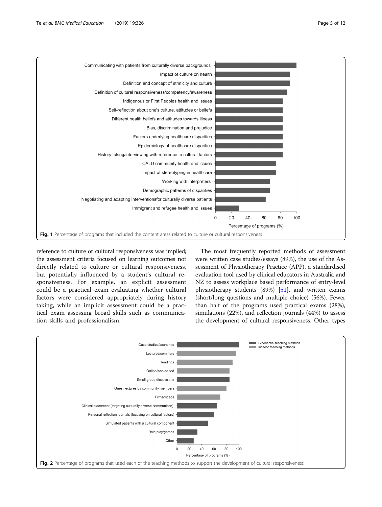<span id="page-4-0"></span>

reference to culture or cultural responsiveness was implied; the assessment criteria focused on learning outcomes not directly related to culture or cultural responsiveness, but potentially influenced by a student's cultural responsiveness. For example, an explicit assessment could be a practical exam evaluating whether cultural factors were considered appropriately during history taking, while an implicit assessment could be a practical exam assessing broad skills such as communication skills and professionalism.

The most frequently reported methods of assessment were written case studies/essays (89%), the use of the Assessment of Physiotherapy Practice (APP), a standardised evaluation tool used by clinical educators in Australia and NZ to assess workplace based performance of entry-level physiotherapy students (89%) [\[51](#page-11-0)], and written exams (short/long questions and multiple choice) (56%). Fewer than half of the programs used practical exams (28%), simulations (22%), and reflection journals (44%) to assess the development of cultural responsiveness. Other types

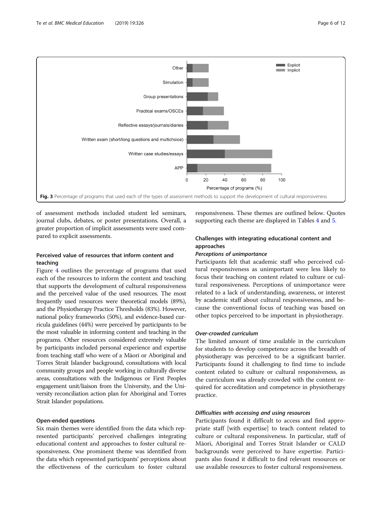<span id="page-5-0"></span>

of assessment methods included student led seminars, journal clubs, debates, or poster presentations. Overall, a greater proportion of implicit assessments were used compared to explicit assessments.

# Perceived value of resources that inform content and teaching

Figure [4](#page-6-0) outlines the percentage of programs that used each of the resources to inform the content and teaching that supports the development of cultural responsiveness and the perceived value of the used resources. The most frequently used resources were theoretical models (89%), and the Physiotherapy Practice Thresholds (83%). However, national policy frameworks (50%), and evidence-based curricula guidelines (44%) were perceived by participants to be the most valuable in informing content and teaching in the programs. Other resources considered extremely valuable by participants included personal experience and expertise from teaching staff who were of a Māori or Aboriginal and Torres Strait Islander background, consultations with local community groups and people working in culturally diverse areas, consultations with the Indigenous or First Peoples engagement unit/liaison from the University, and the University reconciliation action plan for Aboriginal and Torres Strait Islander populations.

#### Open-ended questions

Six main themes were identified from the data which represented participants' perceived challenges integrating educational content and approaches to foster cultural responsiveness. One prominent theme was identified from the data which represented participants' perceptions about the effectiveness of the curriculum to foster cultural responsiveness. These themes are outlined below. Quotes supporting each theme are displayed in Tables [4](#page-7-0) and [5.](#page-7-0)

# Challenges with integrating educational content and approaches

# Perceptions of unimportance

Participants felt that academic staff who perceived cultural responsiveness as unimportant were less likely to focus their teaching on content related to culture or cultural responsiveness. Perceptions of unimportance were related to a lack of understanding, awareness, or interest by academic staff about cultural responsiveness, and because the conventional focus of teaching was based on other topics perceived to be important in physiotherapy.

## Over-crowded curriculum

The limited amount of time available in the curriculum for students to develop competence across the breadth of physiotherapy was perceived to be a significant barrier. Participants found it challenging to find time to include content related to culture or cultural responsiveness, as the curriculum was already crowded with the content required for accreditation and competence in physiotherapy practice.

#### Difficulties with accessing and using resources

Participants found it difficult to access and find appropriate staff [with expertise] to teach content related to culture or cultural responsiveness. In particular, staff of Māori, Aboriginal and Torres Strait Islander or CALD backgrounds were perceived to have expertise. Participants also found it difficult to find relevant resources or use available resources to foster cultural responsiveness.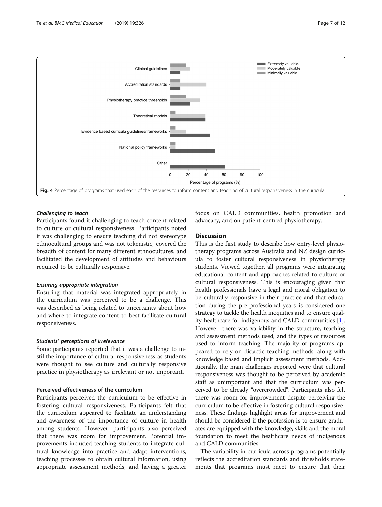<span id="page-6-0"></span>

#### Challenging to teach

Participants found it challenging to teach content related to culture or cultural responsiveness. Participants noted it was challenging to ensure teaching did not stereotype ethnocultural groups and was not tokenistic, covered the breadth of content for many different ethnocultures, and facilitated the development of attitudes and behaviours required to be culturally responsive.

#### Ensuring appropriate integration

Ensuring that material was integrated appropriately in the curriculum was perceived to be a challenge. This was described as being related to uncertainty about how and where to integrate content to best facilitate cultural responsiveness.

#### Students' perceptions of irrelevance

Some participants reported that it was a challenge to instil the importance of cultural responsiveness as students were thought to see culture and culturally responsive practice in physiotherapy as irrelevant or not important.

#### Perceived effectiveness of the curriculum

Participants perceived the curriculum to be effective in fostering cultural responsiveness. Participants felt that the curriculum appeared to facilitate an understanding and awareness of the importance of culture in health among students. However, participants also perceived that there was room for improvement. Potential improvements included teaching students to integrate cultural knowledge into practice and adapt interventions, teaching processes to obtain cultural information, using appropriate assessment methods, and having a greater focus on CALD communities, health promotion and advocacy, and on patient-centred physiotherapy.

# **Discussion**

This is the first study to describe how entry-level physiotherapy programs across Australia and NZ design curricula to foster cultural responsiveness in physiotherapy students. Viewed together, all programs were integrating educational content and approaches related to culture or cultural responsiveness. This is encouraging given that health professionals have a legal and moral obligation to be culturally responsive in their practice and that education during the pre-professional years is considered one strategy to tackle the health inequities and to ensure quality healthcare for indigenous and CALD communities [[1](#page-10-0)]. However, there was variability in the structure, teaching and assessment methods used, and the types of resources used to inform teaching. The majority of programs appeared to rely on didactic teaching methods, along with knowledge based and implicit assessment methods. Additionally, the main challenges reported were that cultural responsiveness was thought to be perceived by academic staff as unimportant and that the curriculum was perceived to be already "overcrowded". Participants also felt there was room for improvement despite perceiving the curriculum to be effective in fostering cultural responsiveness. These findings highlight areas for improvement and should be considered if the profession is to ensure graduates are equipped with the knowledge, skills and the moral foundation to meet the healthcare needs of indigenous and CALD communities.

The variability in curricula across programs potentially reflects the accreditation standards and thresholds statements that programs must meet to ensure that their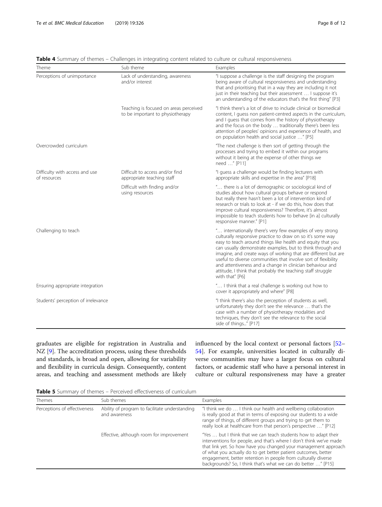| Theme                                          | Sub theme                                                                  | Examples                                                                                                                                                                                                                                                                                                                                                                                                                                                                                                                                 |
|------------------------------------------------|----------------------------------------------------------------------------|------------------------------------------------------------------------------------------------------------------------------------------------------------------------------------------------------------------------------------------------------------------------------------------------------------------------------------------------------------------------------------------------------------------------------------------------------------------------------------------------------------------------------------------|
| Perceptions of unimportance                    | Lack of understanding, awareness<br>and/or interest                        | "I suppose a challenge is the staff designing the program<br>being aware of cultural responsiveness and understanding<br>that and prioritising that in a way they are including it not<br>just in their teaching but their assessment  I suppose it's<br>an understanding of the educators that's the first thing" [P3]                                                                                                                                                                                                                  |
|                                                | Teaching is focused on areas perceived<br>to be important to physiotherapy | "I think there's a lot of drive to include clinical or biomedical<br>content, I quess non patient-centred aspects in the curriculum,<br>and I guess that comes from the history of physiotherapy<br>and the focus on the body  traditionally there's been less<br>attention of peoples' opinions and experience of health, and<br>on population health and social justice " [P5]                                                                                                                                                         |
| Overcrowded curriculum                         |                                                                            | "The next challenge is then sort of getting through the<br>processes and trying to embed it within our programs<br>without it being at the expense of other things we<br>need " [P11]                                                                                                                                                                                                                                                                                                                                                    |
| Difficulty with access and use<br>of resources | Difficult to access and/or find<br>appropriate teaching staff              | "I quess a challenge would be finding lecturers with<br>appropriate skills and expertise in the area" [P18]                                                                                                                                                                                                                                                                                                                                                                                                                              |
|                                                | Difficult with finding and/or<br>using resources                           | " there is a lot of demographic or sociological kind of<br>studies about how cultural groups behave or respond<br>but really there hasn't been a lot of intervention kind of<br>research or trials to look at - if we do this, how does that<br>improve cultural responsiveness? Therefore, it's almost<br>impossible to teach students how to behave [in a] culturally<br>responsive manner." [P1]                                                                                                                                      |
| Challenging to teach                           |                                                                            | " internationally there's very few examples of very strong<br>culturally responsive practice to draw on so it's some way<br>easy to teach around things like health and equity that you<br>can usually demonstrate examples, but to think through and<br>imagine, and create ways of working that are different but are<br>useful to diverse communities that involve sort of flexibility<br>and attentiveness and a change in clinician behaviour and<br>attitude, I think that probably the teaching staff struggle<br>with that" [P6] |
| Ensuring appropriate integration               |                                                                            | " I think that a real challenge is working out how to<br>cover it appropriately and where" [P8]                                                                                                                                                                                                                                                                                                                                                                                                                                          |
| Students' perception of irrelevance            |                                                                            | "I think there's also the perception of students as well,<br>unfortunately they don't see the relevance  that's the<br>case with a number of physiotherapy modalities and<br>techniques, they don't see the relevance to the social<br>side of things" [P17]                                                                                                                                                                                                                                                                             |

<span id="page-7-0"></span>Table 4 Summary of themes - Challenges in integrating content related to culture or cultural responsiveness

graduates are eligible for registration in Australia and NZ [\[9](#page-10-0)]. The accreditation process, using these thresholds and standards, is broad and open, allowing for variability and flexibility in curricula design. Consequently, content areas, and teaching and assessment methods are likely influenced by the local context or personal factors [[52](#page-11-0)– [54\]](#page-11-0). For example, universities located in culturally diverse communities may have a larger focus on cultural factors, or academic staff who have a personal interest in culture or cultural responsiveness may have a greater

Table 5 Summary of themes - Perceived effectiveness of curriculum

| <b>Themes</b>                | Sub themes                                                      | Examples                                                                                                                                                                                                                                                                                                                                                                                                       |
|------------------------------|-----------------------------------------------------------------|----------------------------------------------------------------------------------------------------------------------------------------------------------------------------------------------------------------------------------------------------------------------------------------------------------------------------------------------------------------------------------------------------------------|
| Perceptions of effectiveness | Ability of program to facilitate understanding<br>and awareness | "I think we do  I think our health and wellbeing collaboration<br>is really good at that in terms of exposing our students to a wide<br>range of things, of different groups and trying to get them to<br>really look at healthcare from that person's perspective " [P12]                                                                                                                                     |
|                              | Effective, although room for improvement                        | "Yes  but I think that we can teach students how to adapt their<br>interventions for people, and that's where I don't think we've made<br>that link yet. So how have you changed your management approach<br>of what you actually do to get better patient outcomes, better<br>engagement, better retention in people from culturally diverse<br>backgrounds? So, I think that's what we can do better " [P15] |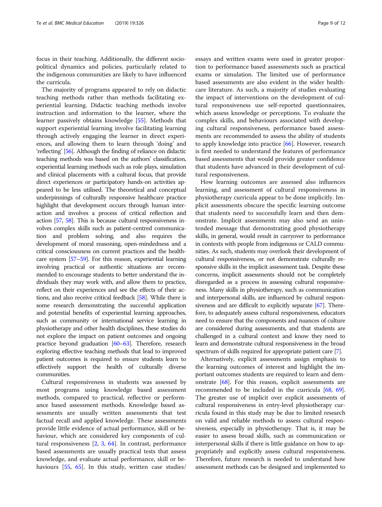focus in their teaching. Additionally, the different sociopolitical dynamics and policies, particularly related to the indigenous communities are likely to have influenced the curricula.

The majority of programs appeared to rely on didactic teaching methods rather than methods facilitating experiential learning. Didactic teaching methods involve instruction and information to the learner, where the learner passively obtains knowledge [[55](#page-11-0)]. Methods that support experiential learning involve facilitating learning through actively engaging the learner in direct experiences, and allowing them to learn through 'doing' and 'reflecting' [\[56\]](#page-11-0). Although the finding of reliance on didactic teaching methods was based on the authors' classification, experiential learning methods such as role plays, simulation and clinical placements with a cultural focus, that provide direct experiences or participatory hands-on activities appeared to be less utilised. The theoretical and conceptual underpinnings of culturally responsive healthcare practice highlight that development occurs through human interaction and involves a process of critical reflection and action [\[57,](#page-11-0) [58\]](#page-11-0). This is because cultural responsiveness involves complex skills such as patient-centred communication and problem solving, and also requires the development of moral reasoning, open-mindedness and a critical consciousness on current practices and the healthcare system [\[57](#page-11-0)–[59\]](#page-11-0). For this reason, experiential learning involving practical or authentic situations are recommended to encourage students to better understand the individuals they may work with, and allow them to practice, reflect on their experiences and see the effects of their actions, and also receive critical feedback [[58](#page-11-0)]. While there is some research demonstrating the successful application and potential benefits of experiential learning approaches, such as community or international service learning in physiotherapy and other health disciplines, these studies do not explore the impact on patient outcomes and ongoing practice beyond graduation [\[60](#page-11-0)–[63\]](#page-11-0). Therefore, research exploring effective teaching methods that lead to improved patient outcomes is required to ensure students learn to effectively support the health of culturally diverse communities.

Cultural responsiveness in students was assessed by most programs using knowledge based assessment methods, compared to practical, reflective or performance based assessment methods. Knowledge based assessments are usually written assessments that test factual recall and applied knowledge. These assessments provide little evidence of actual performance, skill or behaviour, which are considered key components of cultural responsiveness [[2,](#page-10-0) [3](#page-10-0), [64](#page-11-0)]. In contrast, performance based assessments are usually practical tests that assess knowledge, and evaluate actual performance, skill or behaviours [[55,](#page-11-0) [65](#page-11-0)]. In this study, written case studies/ essays and written exams were used in greater proportion to performance based assessments such as practical exams or simulation. The limited use of performance based assessments are also evident in the wider healthcare literature. As such, a majority of studies evaluating the impact of interventions on the development of cultural responsiveness use self-reported questionnaires, which assess knowledge or perceptions. To evaluate the complex skills, and behaviours associated with developing cultural responsiveness, performance based assessments are recommended to assess the ability of students to apply knowledge into practice [[66\]](#page-11-0). However, research is first needed to understand the features of performance based assessments that would provide greater confidence that students have advanced in their development of cultural responsiveness.

How learning outcomes are assessed also influences learning, and assessment of cultural responsiveness in physiotherapy curricula appear to be done implicitly. Implicit assessments obscure the specific learning outcome that students need to successfully learn and then demonstrate. Implicit assessments may also send an unintended message that demonstrating good physiotherapy skills, in general, would result in carryover to performance in contexts with people from indigenous or CALD communities. As such, students may overlook their development of cultural responsiveness, or not demonstrate culturally responsive skills in the implicit assessment task. Despite these concerns, implicit assessments should not be completely disregarded as a process in assessing cultural responsiveness. Many skills in physiotherapy, such as communication and interpersonal skills, are influenced by cultural responsiveness and are difficult to explicitly separate  $[67]$  $[67]$  $[67]$ . Therefore, to adequately assess cultural responsiveness, educators need to ensure that the components and nuances of culture are considered during assessments, and that students are challenged in a cultural context and know they need to learn and demonstrate cultural responsiveness in the broad spectrum of skills required for appropriate patient care [\[7\]](#page-10-0).

Alternatively, explicit assessments assign emphasis to the learning outcomes of interest and highlight the important outcomes students are required to learn and demonstrate [[68](#page-11-0)]. For this reason, explicit assessments are recommended to be included in the curricula [\[68,](#page-11-0) [69](#page-11-0)]. The greater use of implicit over explicit assessments of cultural responsiveness in entry-level physiotherapy curricula found in this study may be due to limited research on valid and reliable methods to assess cultural responsiveness, especially in physiotherapy. That is, it may be easier to assess broad skills, such as communication or interpersonal skills if there is little guidance on how to appropriately and explicitly assess cultural responsiveness. Therefore, future research is needed to understand how assessment methods can be designed and implemented to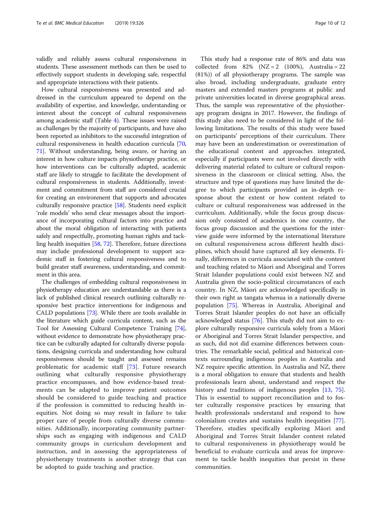validly and reliably assess cultural responsiveness in students. These assessment methods can then be used to effectively support students in developing safe, respectful and appropriate interactions with their patients.

How cultural responsiveness was presented and addressed in the curriculum appeared to depend on the availability of expertise, and knowledge, understanding or interest about the concept of cultural responsiveness among academic staff (Table [4](#page-7-0)). These issues were raised as challenges by the majority of participants, and have also been reported as inhibitors to the successful integration of cultural responsiveness in health education curricula [[70](#page-11-0), [71](#page-11-0)]. Without understanding, being aware, or having an interest in how culture impacts physiotherapy practice, or how interventions can be culturally adapted, academic staff are likely to struggle to facilitate the development of cultural responsiveness in students. Additionally, investment and commitment from staff are considered crucial for creating an environment that supports and advocates culturally responsive practice [[58](#page-11-0)]. Students need explicit 'role models' who send clear messages about the importance of incorporating cultural factors into practice and about the moral obligation of interacting with patients safely and respectfully, promoting human rights and tackling health inequities [[58](#page-11-0), [72](#page-11-0)]. Therefore, future directions may include professional development to support academic staff in fostering cultural responsiveness and to build greater staff awareness, understanding, and commitment in this area.

The challenges of embedding cultural responsiveness in physiotherapy education are understandable as there is a lack of published clinical research outlining culturally responsive best practice interventions for indigenous and CALD populations [[73](#page-11-0)]. While there are tools available in the literature which guide curricula content, such as the Tool for Assessing Cultural Competence Training [[74](#page-11-0)], without evidence to demonstrate how physiotherapy practice can be culturally adapted for culturally diverse populations, designing curricula and understanding how cultural responsiveness should be taught and assessed remains problematic for academic staff [\[73](#page-11-0)]. Future research outlining what culturally responsive physiotherapy practice encompasses, and how evidence-based treatments can be adapted to improve patient outcomes should be considered to guide teaching and practice if the profession is committed to reducing health inequities. Not doing so may result in failure to take proper care of people from culturally diverse communities. Additionally, incorporating community partnerships such as engaging with indigenous and CALD community groups in curriculum development and instruction, and in assessing the appropriateness of physiotherapy treatments is another strategy that can be adopted to guide teaching and practice.

This study had a response rate of 86% and data was collected from  $82\%$  (NZ = 2 (100%), Australia = 22 (81%)) of all physiotherapy programs. The sample was also broad, including undergraduate, graduate entry masters and extended masters programs at public and private universities located in diverse geographical areas. Thus, the sample was representative of the physiotherapy program designs in 2017. However, the findings of this study also need to be considered in light of the following limitations. The results of this study were based on participants' perceptions of their curriculum. There may have been an underestimation or overestimation of the educational content and approaches integrated, especially if participants were not involved directly with delivering material related to culture or cultural responsiveness in the classroom or clinical setting. Also, the structure and type of questions may have limited the degree to which participants provided an in-depth response about the extent or how content related to culture or cultural responsiveness was addressed in the curriculum. Additionally, while the focus group discussion only consisted of academics in one country, the focus group discussion and the questions for the interview guide were informed by the international literature on cultural responsiveness across different health disciplines, which should have captured all key elements. Finally, differences in curricula associated with the content and teaching related to Māori and Aboriginal and Torres Strait Islander populations could exist between NZ and Australia given the socio-political circumstances of each country. In NZ, Māori are acknowledged specifically in their own right as tangata whenua in a nationally diverse population [\[75\]](#page-11-0). Whereas in Australia, Aboriginal and Torres Strait Islander peoples do not have an officially acknowledged status [\[76\]](#page-11-0). This study did not aim to explore culturally responsive curricula solely from a Māori or Aboriginal and Torres Strait Islander perspective, and as such, did not did examine differences between countries. The remarkable social, political and historical contexts surrounding indigenous peoples in Australia and NZ require specific attention. In Australia and NZ, there is a moral obligation to ensure that students and health professionals learn about, understand and respect the history and traditions of indigenous peoples [[13](#page-10-0), [75](#page-11-0)]. This is essential to support reconciliation and to foster culturally responsive practices by ensuring that health professionals understand and respond to how colonialism creates and sustains health inequities [\[77](#page-11-0)]. Therefore, studies specifically exploring Māori and Aboriginal and Torres Strait Islander content related to cultural responsiveness in physiotherapy would be beneficial to evaluate curricula and areas for improvement to tackle health inequities that persist in these communities.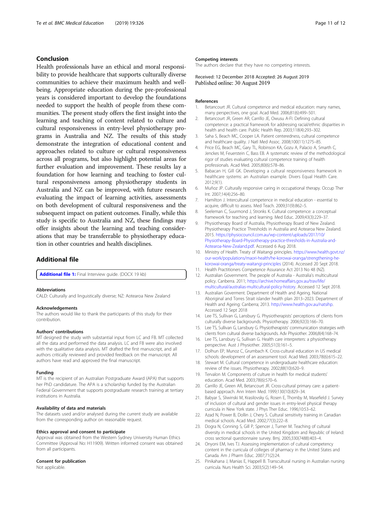## <span id="page-10-0"></span>Conclusion

Health professionals have an ethical and moral responsibility to provide healthcare that supports culturally diverse communities to achieve their maximum health and wellbeing. Appropriate education during the pre-professional years is considered important to develop the foundations needed to support the health of people from these communities. The present study offers the first insight into the learning and teaching of content related to culture and cultural responsiveness in entry-level physiotherapy programs in Australia and NZ. The results of this study demonstrate the integration of educational content and approaches related to culture or cultural responsiveness across all programs, but also highlight potential areas for further evaluation and improvement. These results lay a foundation for how learning and teaching to foster cultural responsiveness among physiotherapy students in Australia and NZ can be improved, with future research evaluating the impact of learning activities, assessments on both development of cultural responsiveness and the subsequent impact on patient outcomes. Finally, while this study is specific to Australia and NZ, these findings may offer insights about the learning and teaching considerations that may be transferrable to physiotherapy education in other countries and health disciplines.

## Additional file

[Additional file 1:](https://doi.org/10.1186/s12909-019-1766-9) Final Interview guide. (DOCX 19 kb)

#### Abbreviations

CALD: Culturally and linguistically diverse; NZ: Aotearoa New Zealand

#### Acknowledgements

The authors would like to thank the participants of this study for their contribution.

#### Authors' contributions

MT designed the study with substantial input from LC and FB. MT collected all the data and performed the data analysis. LC and FB were also involved with the qualitative data analysis. MT drafted the first manuscript, and all authors critically reviewed and provided feedback on the manuscript. All authors have read and approved the final manuscript.

#### Funding

MT is the recipient of an Australian Postgraduate Award (APA) that supports her PhD candidature. The APA is a scholarship funded by the Australian Federal Government that supports postgraduate research training at tertiary institutions in Australia.

#### Availability of data and materials

The datasets used and/or analysed during the current study are available from the corresponding author on reasonable request.

#### Ethics approval and consent to participate

Approval was obtained from the Western Sydney University Human Ethics Committee (Approval No: H11909). Written informed consent was obtained from all participants.

#### Consent for publication

Not applicable.

#### Competing interests

The authors declare that they have no competing interests.

#### Received: 12 December 2018 Accepted: 26 August 2019 Published online: 30 August 2019

#### References

- 1. Betancourt JR. Cultural competence and medical education: many names, many perspectives, one goal. Acad Med. 2006;81(6):499–501.
- 2. Betancourt JR, Green AR, Carrillo JE, Owusu A-FI. Defining cultural competence: a practical framework for addressing racial/ethnic disparities in health and health care. Public Health Rep. 2003;118(4):293–302.
- 3. Saha S, Beach MC, Cooper LA. Patient centeredness, cultural competence and healthcare quality. J Natl Med Assoc. 2008;100(11):1275–85.
- 4. Price EG, Beach MC, Gary TL, Robinson KA, Gozu A, Palacio A, Smarth C, Jenckes M, Feuerstein C, Bass EB. A systematic review of the methodological rigor of studies evaluating cultural competence training of health professionals. Acad Med. 2005;80(6):578–86.
- 5. Babacan H, Gill GK. Developing a cultural responsiveness framework in healthcare systems: an Australian example. Divers Equal Health Care. 2012;9(1).
- 6. Muñoz JP. Culturally responsive caring in occupational therapy. Occup Ther Int. 2007;14(4):256–80.
- 7. Hamilton J. Intercultural competence in medical education essential to acquire, difficult to assess. Med Teach. 2009;31(9):862–5.
- 8. Seeleman C, Suurmond J, Stronks K. Cultural competence: a conceptual framework for teaching and learning. Med Educ. 2009;43(3):229–37.
- 9. Physiotherapy Board of Australia, Physiotherapy Board of New Zealand. Physiotherapy Practice Thresholds in Australia and Aotearoa New Zealand. 2015. [https://physiocouncil.com.au/wp-content/uploads/2017/10/](https://physiocouncil.com.au/wp-content/uploads/2017/10/Physiotherapy-Board-Physiotherapy-practice-thresholds-in-Australia-and-Aotearoa-New-Zealand.pdf) [Physiotherapy-Board-Physiotherapy-practice-thresholds-in-Australia-and-](https://physiocouncil.com.au/wp-content/uploads/2017/10/Physiotherapy-Board-Physiotherapy-practice-thresholds-in-Australia-and-Aotearoa-New-Zealand.pdf)[Aotearoa-New-Zealand.pdf](https://physiocouncil.com.au/wp-content/uploads/2017/10/Physiotherapy-Board-Physiotherapy-practice-thresholds-in-Australia-and-Aotearoa-New-Zealand.pdf). Accessed 6 Aug 2018.
- 10. Ministry of Health. Treaty of Waitangi principles. [https://www.health.govt.nz/](https://www.health.govt.nz/our-work/populations/maori-health/he-korowai-oranga/strengthening-he-korowai-oranga/treaty-waitangi-principles) [our-work/populations/maori-health/he-korowai-oranga/strengthening-he](https://www.health.govt.nz/our-work/populations/maori-health/he-korowai-oranga/strengthening-he-korowai-oranga/treaty-waitangi-principles)[korowai-oranga/treaty-waitangi-principles](https://www.health.govt.nz/our-work/populations/maori-health/he-korowai-oranga/strengthening-he-korowai-oranga/treaty-waitangi-principles) (2014). Accessed 20 Sept 2018.
- 11. Health Practitioners Competence Assurance Act 2013 No 48 (NZ).
- 12. Australian Government. The people of Australia Australia's multicultural policy. Canberra. 2011; [https://archive.homeaffairs.gov.au/trav/life/](https://archive.homeaffairs.gov.au/trav/life/multicultural/australias-multicultural-policy-history) [multicultural/australias-multicultural-policy-history.](https://archive.homeaffairs.gov.au/trav/life/multicultural/australias-multicultural-policy-history) Accessed 12 Sept 2018.
- 13. Australian Goverment. Department of Health and Ageing. National Aboriginal and Torres Strait islander health plan 2013–2023. Department of Health and Ageing: Canberra; 2013. [http://www.health.gov.au/natsihp.](http://www.health.gov.au/natsihp) Accessed 12 Sept 2018
- 14. Lee TS, Sullivan G, Lansbury G. Physiotherapists' perceptions of clients from culturally diverse backgrounds. Physiotherapy. 2006;92(3):166–70.
- 15. Lee TS, Sullivan G, Lansbury G. Physiotherapists' communication strategies with clients from cultural diverse backgrounds. Adv Physiother. 2006;8(4):168–74.
- 16. Lee TS, Lansbury G, Sullivan G. Health care interpreters: a physiotherapy perspective. Aust J Physiother. 2005;51(3):161–5.
- 17. Dolhun EP, Munoz C, Grumbach K. Cross-cultural education in US medical schools: development of an assessment tool. Acad Med. 2003;78(6):615–22.
- 18. Stewart M. Cultural competence in undergraduate healthcare education: review of the issues. Physiotherapy. 2002;88(10):620–9.
- 19. Tervalon M. Components of culture in health for medical students' education. Acad Med. 2003;78(6):570–6.
- 20. Carrillo JE, Green AR, Betancourt JR. Cross-cultural primary care: a patientbased approach. Ann Intern Med. 1999;130(10):829–34.
- 21. Babyar S, Sliwinski M, Krasilovsky G, Rosen E, Thornby M, Masefield J. Survey of inclusion of cultural and gender issues in entry-level physical therapy curricula in New York state. J Phys Ther Educ. 1996;10:53–62.
- 22. Azad N, Power B, Dollin J, Chery S. Cultural sensitivity training in Canadian medical schools. Acad Med. 2002;77(3):222–8.
- 23. Dogra N, Conning S, Gill P, Spencer J, Turner M. Teaching of cultural diversity in medical schools in the United Kingdom and Republic of Ireland: cross sectional questionnaire survey. Bmj. 2005;330(7488):403–4.
- 24. Onyoni EM, Ives TJ. Assessing implementation of cultural competency content in the curricula of colleges of pharmacy in the United States and Canada. Am J Pharm Educ. 2007;71(2):24.
- 25. Pinikahana J, Manias E, Happell B. Transcultural nursing in Australian nursing curricula. Nurs Health Sci. 2003;5(2):149–54.